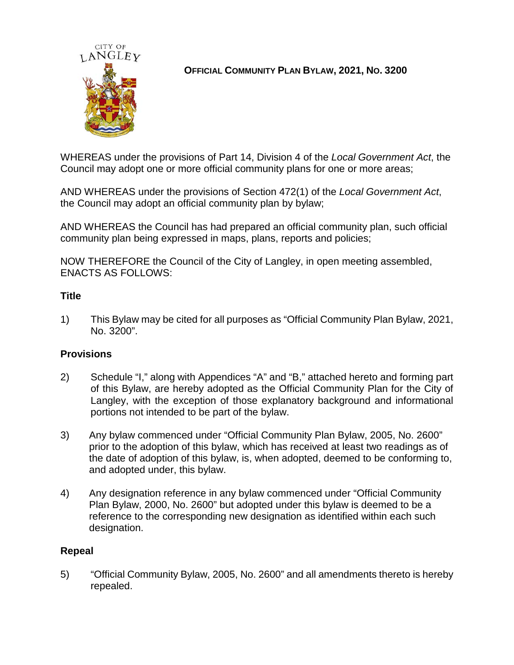

# **OFFICIAL COMMUNITY PLAN BYLAW, 2021, NO. 3200**

WHEREAS under the provisions of Part 14, Division 4 of the *Local Government Act*, the Council may adopt one or more official community plans for one or more areas;

AND WHEREAS under the provisions of Section 472(1) of the *Local Government Act*, the Council may adopt an official community plan by bylaw;

AND WHEREAS the Council has had prepared an official community plan, such official community plan being expressed in maps, plans, reports and policies;

NOW THEREFORE the Council of the City of Langley, in open meeting assembled, ENACTS AS FOLLOWS:

## **Title**

1) This Bylaw may be cited for all purposes as "Official Community Plan Bylaw, 2021, No. 3200".

## **Provisions**

- 2) Schedule "I," along with Appendices "A" and "B," attached hereto and forming part of this Bylaw, are hereby adopted as the Official Community Plan for the City of Langley, with the exception of those explanatory background and informational portions not intended to be part of the bylaw.
- 3) Any bylaw commenced under "Official Community Plan Bylaw, 2005, No. 2600" prior to the adoption of this bylaw, which has received at least two readings as of the date of adoption of this bylaw, is, when adopted, deemed to be conforming to, and adopted under, this bylaw.
- 4) Any designation reference in any bylaw commenced under "Official Community Plan Bylaw, 2000, No. 2600" but adopted under this bylaw is deemed to be a reference to the corresponding new designation as identified within each such designation.

#### **Repeal**

5) "Official Community Bylaw, 2005, No. 2600" and all amendments thereto is hereby repealed.